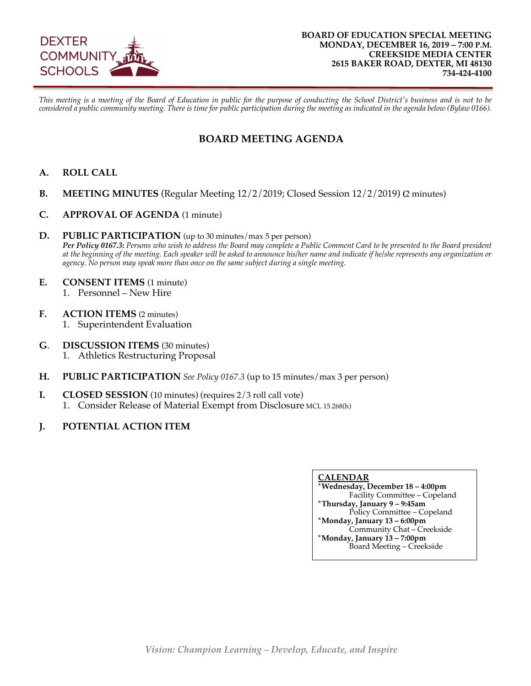

*This meeting is a meeting of the Board of Education in public for the purpose of conducting the School District's business and is not to be considered a public community meeting. There is time for public participation during the meeting as indicated in the agenda below (Bylaw 0166).*

### **BOARD MEETING AGENDA**

- **A. ROLL CALL**
- **B. MEETING MINUTES** (Regular Meeting 12/2/2019; Closed Session 12/2/2019) **(**2 minutes)
- **C. APPROVAL OF AGENDA** (1 minute)
- **D. PUBLIC PARTICIPATION** (up to 30 minutes/max 5 per person) *Per Policy 0167.3***:** *Persons who wish to address the Board may complete a Public Comment Card to be presented to the Board president at the beginning of the meeting. Each speaker will be asked to announce his/her name and indicate if he/she represents any organization or agency. No person may speak more than once on the same subject during a single meeting.*
- **E. CONSENT ITEMS** (1 minute)
	- 1. Personnel New Hire
- **F. ACTION ITEMS** (2 minutes) 1. Superintendent Evaluation
- **G**. **DISCUSSION ITEMS** (30 minutes) 1. Athletics Restructuring Proposal
- **H. PUBLIC PARTICIPATION** *See Policy 0167.3* (up to 15 minutes/max 3 per person)
- **I.** CLOSED SESSION (10 minutes) (requires 2/3 roll call vote)
	- 1. Consider Release of Material Exempt from Disclosure MCL 15.268(h)
- **J. POTENTIAL ACTION ITEM**

#### **CALENDAR**

**\*Wednesday, December 18 – 4:00pm** Facility Committee – Copeland **\*Thursday, January 9 – 9:45am** Policy Committee – Copeland **\*Monday, January 13 – 6:00pm** Community Chat – Creekside **\*Monday, January 13 – 7:00pm** Board Meeting – Creekside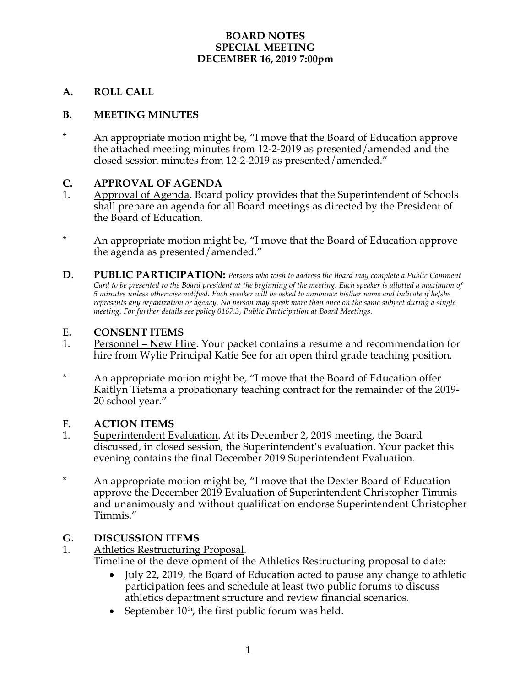#### **BOARD NOTES SPECIAL MEETING DECEMBER 16, 2019 7:00pm**

#### **A. ROLL CALL**

#### **B. MEETING MINUTES**

**\*** An appropriate motion might be, "I move that the Board of Education approve the attached meeting minutes from 12-2-2019 as presented/amended and the closed session minutes from 12-2-2019 as presented/amended."

#### **C. APPROVAL OF AGENDA**

- 1. Approval of Agenda. Board policy provides that the Superintendent of Schools shall prepare an agenda for all Board meetings as directed by the President of the Board of Education.
- \* An appropriate motion might be, "I move that the Board of Education approve the agenda as presented/amended."
- **D. PUBLIC PARTICIPATION:** *Persons who wish to address the Board may complete a Public Comment Card to be presented to the Board president at the beginning of the meeting. Each speaker is allotted a maximum of 5 minutes unless otherwise notified. Each speaker will be asked to announce his/her name and indicate if he/she represents any organization or agency. No person may speak more than once on the same subject during a single meeting. For further details see policy 0167.3, Public Participation at Board Meetings.*

#### **E. CONSENT ITEMS**

- 1. Personnel New Hire. Your packet contains a resume and recommendation for hire from Wylie Principal Katie See for an open third grade teaching position.
- \* An appropriate motion might be, "I move that the Board of Education offer Kaitlyn Tietsma a probationary teaching contract for the remainder of the 2019- 20 school year."

#### **F. ACTION ITEMS**

- 1. Superintendent Evaluation. At its December 2, 2019 meeting, the Board discussed, in closed session, the Superintendent's evaluation. Your packet this evening contains the final December 2019 Superintendent Evaluation.
- \* An appropriate motion might be, "I move that the Dexter Board of Education approve the December 2019 Evaluation of Superintendent Christopher Timmis and unanimously and without qualification endorse Superintendent Christopher Timmis."

#### **G. DISCUSSION ITEMS**

- 1. Athletics Restructuring Proposal. Timeline of the development of the Athletics Restructuring proposal to date:
	- July 22, 2019, the Board of Education acted to pause any change to athletic participation fees and schedule at least two public forums to discuss athletics department structure and review financial scenarios.
	- September  $10<sup>th</sup>$ , the first public forum was held.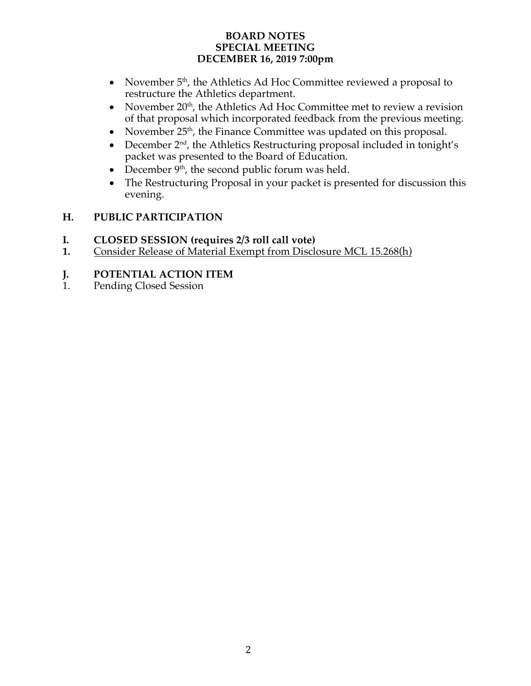#### **BOARD NOTES SPECIAL MEETING DECEMBER 16, 2019 7:00pm**

- November  $5<sup>th</sup>$ , the Athletics Ad Hoc Committee reviewed a proposal to restructure the Athletics department.
- November  $20<sup>th</sup>$ , the Athletics Ad Hoc Committee met to review a revision of that proposal which incorporated feedback from the previous meeting.
- November  $25<sup>th</sup>$ , the Finance Committee was updated on this proposal.
- December  $2<sup>nd</sup>$ , the Athletics Restructuring proposal included in tonight's packet was presented to the Board of Education.
- December  $9<sup>th</sup>$ , the second public forum was held.
- The Restructuring Proposal in your packet is presented for discussion this evening.

### **H. PUBLIC PARTICIPATION**

- **I. CLOSED SESSION (requires 2/3 roll call vote)**
- **1.** Consider Release of Material Exempt from Disclosure MCL 15.268(h)

# **J. POTENTIAL ACTION ITEM**<br>1. Pending Closed Session

Pending Closed Session